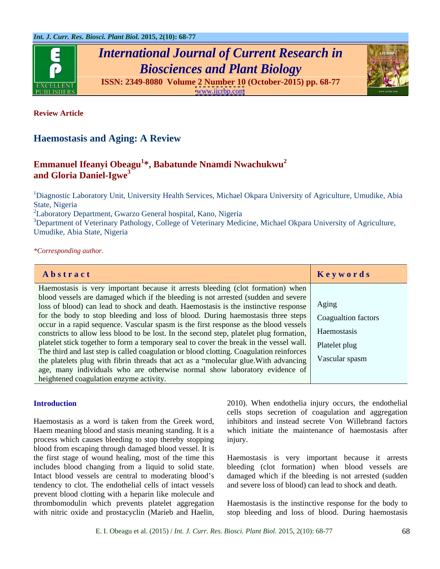

*International Journal of Current Research in Biosciences and Plant Biology*



**ISSN: 2349-8080 Volume 2 Number 10 (October-2015) pp. 68-77** [www.ijcrbp.com](http://www.ijcrbp.com) www.ijcrbp.com

**Review Article**

# **Haemostasis and Aging: A Review**

## **Emmanuel Ifeanyi Obeagu<sup>1</sup> \*, Babatunde Nnamdi Nwachukwu2 and Gloria Daniel-Igwe<sup>3</sup>**

<sup>1</sup>Diagnostic Laboratory Unit, University Health Services, Michael Okpara University of Agriculture, Umudike, Abia State, Nigeria

<sup>2</sup>Laboratory Department, Gwarzo General hospital, Kano, Nigeria

3Department of Veterinary Pathology, College of Veterinary Medicine, Michael Okpara University of Agriculture, Umudike, Abia State, Nigeria

*\*Corresponding author.*

| Abstract                                                                                              | Keywords       |
|-------------------------------------------------------------------------------------------------------|----------------|
| Haemostasis is very important because it arrests bleeding (clot formation) when                       |                |
| blood vessels are damaged which if the bleeding is not arrested (sudden and severe                    |                |
| loss of blood) can lead to shock and death. Haemostasis is the instinctive response   Aging           |                |
| for the body to stop bleeding and loss of blood. During haemostasis three steps   Coagualtion factors |                |
| occur in a rapid sequence. Vascular spasm is the first response as the blood vessels                  |                |
| constricts to allow less blood to be lost. In the second step, platelet plug formation,   Haemostasis |                |
| platelet stick together to form a temporary seal to cover the break in the vessel wall. Platelet plug |                |
| The third and last step is called coagulation or blood clotting. Coagulation reinforces               |                |
| the platelets plug with fibrin threads that act as a "molecular glue. With advancing                  | Vascular spasm |
| age, many individuals who are otherwise normal show laboratory evidence of                            |                |
| heightened coagulation enzyme activity.                                                               |                |

Haemostasis as a word is taken from the Greek word, Haem meaning blood and stasis meaning standing. It is a process which causes bleeding to stop thereby stopping blood from escaping through damaged blood vessel. It is the first stage of wound healing, most of the time this Haemostasis is very important because it arrests includes blood changing from a liquid to solid state. bleeding (clot formation) when blood vessels are Intact blood vessels are central to moderating blood's damaged which if the bleeding is not arrested (sudden tendency to clot. The endothelial cells of intact vessels prevent blood clotting with a heparin like molecule and thrombomodulin which prevents platelet aggregation Haemostasis is the instinctive response for the body to Introduction<br>
Haemostasis as a word is taken from the Greek word,<br>
Haemostasis as a word is taken from the Greek word,<br>
imhibitors and instead secrete Von Willebrand factors<br>
Haem meaning blood and stasis meaning standing.

Introduction 2010). When endothelia injury occurs, the endothelial cells stops secretion of coagulation and aggregation inhibitors and instead secrete Von Willebrand factors which initiate the maintenance of haemostasis after injury.

and severe loss of blood) can lead to shock and death.

stop bleeding and loss of blood. During haemostasis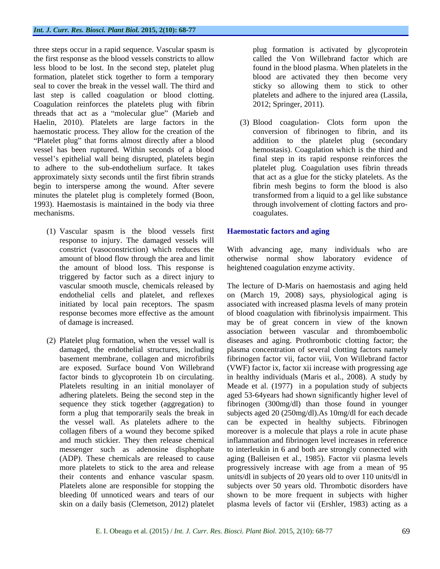three steps occur in a rapid sequence. Vascular spasm is the first response as the blood vessels constricts to allow less blood to be lost. In the second step, platelet plug formation, platelet stick together to form a temporary seal to cover the break in the vessel wall. The third and last step is called coagulation or blood clotting. Coagulation reinforces the platelets plug with fibrin threads that act as a "molecular glue" (Marieb and Haelin, 2010). Platelets are large factors in the haemostatic process. They allow for the creation of the "Platelet plug" that forms almost directly after a blood vessel has been ruptured. Within seconds of a blood vessel's epithelial wall being disrupted, platelets begin to adhere to the sub-endothelium surface. It takes approximately sixty seconds until the first fibrin strands begin to intersperse among the wound. After severe minutes the platelet plug is completely formed (Boon, 1993). Haemostasis is maintained in the body via three mechanisms. coagulates.

- (1) Vascular spasm is the blood vessels first response to injury. The damaged vessels will the amount of blood loss. This response is triggered by factor such as a direct injury to
- 

plug formation is activated by glycoprotein called the Von Willebrand factor which are found in the blood plasma. When platelets in the blood are activated they then become very sticky so allowing them to stick to other platelets and adhere to the injured area (Lassila, 2012; Springer, 2011).

(3) Blood coagulation- Clots form upon the conversion of fibrinogen to fibrin, and its addition to the platelet plug (secondary hemostasis). Coagulation which is the third and final step in its rapid response reinforces the platelet plug. Coagulation uses fibrin threads that act as a glue for the sticky platelets. As the fibrin mesh begins to form the blood is also transformed from a liquid to a gel like substance through involvement of clotting factors and pro coagulates.

### **Haemostatic factors and aging**

constrict (vasoconstriction) which reduces the With advancing age, many individuals who are amount of blood flow through the area and limit otherwise normal show laboratory evidence of heightened coagulation enzyme activity.

vascular smooth muscle, chemicals released by The lecture of D-Maris on haemostasis and aging held endothelial cells and platelet, and reflexes on (March 19, 2008) says, physiological aging is initiated by local pain receptors. The spasm associated with increased plasma levels of many protein response becomes more effective as the amount of blood coagulation with fibrinolysis impairment. This of damage is increased. may be of great concern in view of the known (2) Platelet plug formation, when the vessel wall is diseases and aging. Prothrombotic clotting factor; the damaged, the endothelial structures, including plasma concentration of several clotting factors namely basement membrane, collagen and microfibrils fibrinogen factor vii, factor viii, Von Willebrand factor are exposed. Surface bound Von Willebrand (VWF) factor ix, factor xii increase with progressing age factor binds to glycoprotein 1b on circulating. in healthy individuals (Maris et al., 2008). A study by Platelets resulting in an initial monolayer of Meade et al. (1977) in a population study of subjects adhering platelets. Being the second step in the aged 53-64years had shown significantly higher level of sequence they stick together (aggregation) to fibrinogen (300mg/dl) than those found in younger form a plug that temporarily seals the break in subjects aged 20 (250mg/dl).As 10mg/dl for each decade the vessel wall. As platelets adhere to the can be expected in healthy subjects. Fibrinogen collagen fibers of a wound they become spiked moreover is a molecule that plays a role in acute phase and much stickier. They then release chemical inflammation and fibrinogen level increases in reference messenger such as adenosine disphophate to interleukin in 6 and both are strongly connected with (ADP). These chemicals are released to cause aging (Balleisen et al., 1985). Factor vii plasma levels more platelets to stick to the area and release progressively increase with age from a mean of 95 their contents and enhance vascular spasm. units/dl in subjects of 20 years old to over 110 units/dl in Platelets alone are responsible for stopping the subjects over 50 years old. Thrombotic disorders have bleeding 0f unnoticed wears and tears of our shown to be more frequent in subjects with higher skin on a daily basis (Clemetson, 2012) platelet plasma levels of factor vii (Ershler, 1983) acting as aassociation between vascular and thromboembolic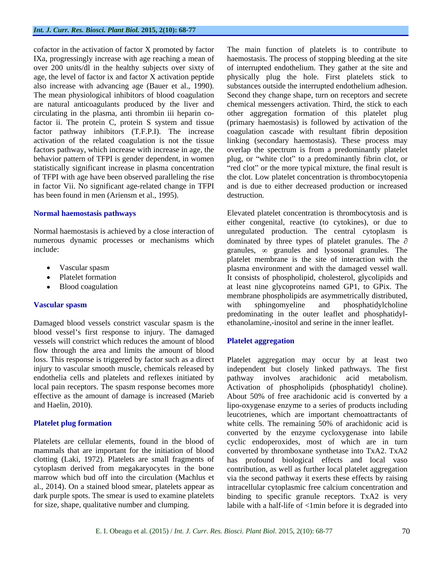in factor Vii. No significant age-related change in TFPI has been found in men (Ariensm et al., 1995). destruction.

- 
- $\bullet$
- 

Damaged blood vessels constrict vascular spasm is the blood vessel's first response to injury. The damaged vessels will constrict which reduces the amount of blood Platelet aggregation flow through the area and limits the amount of blood

cofactor in the activation of factor X promoted by factor The main function of platelets is to contribute to IXa, progressingly increase with age reaching a mean of haemostasis. The process of stopping bleeding at the site over 200 units/dl in the healthy subjects over sixty of of interrupted endothelium. They gather at the site and age, the level of factor ix and factor X activation peptide physically plug the hole. First platelets stick to also increase with advancing age (Bauer et al., 1990). substances outside the interrupted endothelium adhesion. The mean physiological inhibitors of blood coagulation Second they change shape, turn on receptors and secrete are natural anticoagulants produced by the liver and chemical messengers activation. Third, the stick to each circulating in the plasma, anti thrombin iii heparin co-other aggregation formation of this platelet plug factor ii. The protein C, protein S system and tissue (primary haemostasis) is followed by activation of the factor pathway inhibitors (T.F.P.I). The increase coagulation cascade with resultant fibrin deposition activation of the related coagulation is not the tissue linking (secondary haemostasis). These process may factors pathway, which increase with increase in age, the overlap the spectrum is from a predominantly platelet behavior pattern of TFPI is gender dependent, in women plug, or "white clot" to a predominantly fibrin clot, or statistically significant increase in plasma concentration "red clot" or the more typical mixture, the final result is of TFPI with age have been observed paralleling the rise the clot. Low platelet concentration is thrombocytopenia and is due to either decreased production or increased destruction.

**Normal haemostasis pathways** Elevated platelet concentration is thrombocytosis and is Normal haemostasis is achieved by a close interaction of unregulated production. The central cytoplasm is numerous dynamic processes or mechanisms which dominated by three types of platelet granules. The  $\partial$ include:  $\Box$  granules,  $\infty$  granules and lysosonal granules. The Vascular spasm plasma environment and with the damaged vessel wall. Platelet formation **It consists of phospholipid, cholesterol**, glycolipids and Blood coagulation at least nine glycoproteins named GP1, to GPix. The **Vascular spasm** either congenital, reactive (to cytokines), or due to platelet membrane is the site of interaction with the membrane phospholipids are asymmetrically distributed, with sphingomyeline and phosphatidylcholine predominating in the outer leaflet and phosphatidyl ethanolamine,-inositol and serine in the inner leaflet.

### **Platelet aggregation**

loss. This response is triggered by factor such as a direct Platelet aggregation may occur by at least two injury to vascular smooth muscle, chemicals released by independent but closely linked pathways. The first endothelia cells and platelets and reflexes initiated by pathway involves arachidonic acid metabolism. local pain receptors. The spasm response becomes more Activation of phospholipids (phosphatidyl choline). effective as the amount of damage is increased (Marieb About 50% of free arachidonic acid is converted by a and Haelin, 2010). lipo-oxygenase enzyme to a series of products including **Platelet plug formation** white cells. The remaining 50% of arachidonic acid is Platelets are cellular elements, found in the blood of cyclic endoperoxides, most of which are in turn mammals that are important for the initiation of blood converted by thromboxane synthetase into TxA2. TxA2 clotting (Laki, 1972). Platelets are small fragments of has profound biological effects and local vaso cytoplasm derived from megakaryocytes in the bone contribution, as well as further local platelet aggregation marrow which bud off into the circulation (Machlus et via the second pathway it exerts these effects by raising al., 2014). On a stained blood smear, platelets appear as intracellular cytoplasmic free calcium concentration and dark purple spots. The smear is used to examine platelets binding to specific granule receptors. TxA2 is very for size, shape, qualitative number and clumping. labile with a half-life of <1min before it is degraded intoleucotrienes, which are important chemoattractants of converted by the enzyme cycloxygenase into labile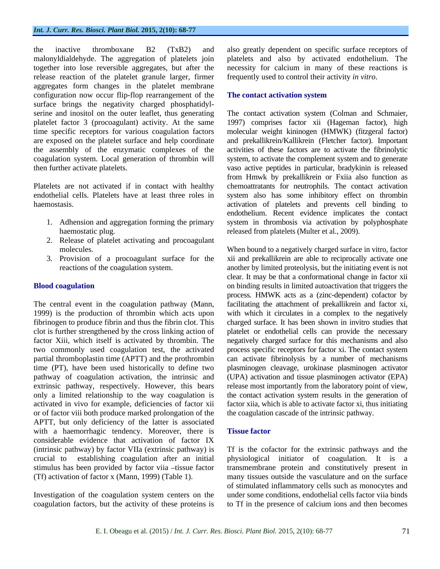the inactive thromboxane B2 (TxB2) and also greatly dependent on specific surface receptors of malonyldialdehyde. The aggregation of platelets join platelets and also by activated endothelium. The together into lose reversible aggregates, but after the necessity for calcium in many of these reactions is release reaction of the platelet granule larger, firmer aggregates form changes in the platelet membrane configuration now occur flip-flop rearrangement of the **The contact activation system** surface brings the negativity charged phosphatidyl serine and inositol on the outer leaflet, thus generating platelet factor 3 (procoagulant) activity. At the same 1997) comprises factor xii (Hageman factor), high time specific receptors for various coagulation factors molecular weight kininogen (HMWK) (fitzgeral factor) are exposed on the platelet surface and help coordinate and prekallikrein/Kallikrein (Fletcher factor). Important the assembly of the enzymatic complexes of the activities of these factors are to activate the fibrinolytic coagulation system. Local generation of thrombin will system, to activate the complement system and to generate then further activate platelets. vaso active peptides in particular, bradykinin is released

- 
- 2. Release of platelet activating and procoagulant
- 

The central event in the coagulation pathway (Mann, facilitating the attachment of prekallikrein and factor xi, 1999) is the production of thrombin which acts upon with which it circulates in a complex to the negatively fibrinogen to produce fibrin and thus the fibrin clot. This charged surface. It has been shown in invitro studies that clot is further strengthened by the cross linking action of platelet or endothelial cells can provide the necessary factor Xiii, which itself is activated by thrombin. The two commonly used coagulation test, the activated process specific receptors for factor xi. The contact system partial thromboplastin time (APTT) and the prothrombin time (PT), have been used historically to define two plasminogen cleavage, urokinase plasminogen activator pathway of coagulation activation, the intrinsic and (UPA) activation and tissue plasminogen activator (EPA) extrinsic pathway, respectively. However, this bears release most importantly from the laboratory point of view, only a limited relationship to the way coagulation is the contact activation system results in the generation of activated in vivo for example, deficiencies of factor xii factor xiia, which is able to activate factor xi, thus initiating or of factor viii both produce marked prolongation of the APTT, but only deficiency of the latter is associated with a haemorrhagic tendency. Moreover, there is **Tissue factor** considerable evidence that activation of factor IX

coagulation factors, but the activity of these proteins is to Tf in the presence of calcium ions and then becomes

frequently used to control their activity *in vitro*.

### **The contact activation system**

Platelets are not activated if in contact with healthy chemoattratants for neutrophils. The contact activation endothelial cells. Platelets have at least three roles in system also has some inhibitory effect on thrombin haemostasis. activation of platelets and prevents cell binding to 1. Adhension and aggregation forming the primary system in thrombosis via activation by polyphosphate haemostatic plug. The released from platelets (Multer et al., 2009). The contact activation system (Colman and Schmaier, from Hmwk by prekallikrein or Fxiia also function as endothelium. Recent evidence implicates the contact

molecules. When bound to a negatively charged surface in vitro, factor 3. Provision of a procoagulant surface for the xii and prekallikrein are able to reciprocally activate one reactions of the coagulation system. another by limited proteolysis, but the initiating event is not **Blood coagulation binding results in limited autoactivation that triggers the** clear. It may be that a conformational change in factor xii process. HMWK acts as a (zinc-dependent) cofactor by negatively charged surface for this mechanisms and also can activate fibrinolysis by a number of mechanisms the coagulation cascade of the intrinsic pathway.

### **Tissue factor**

(intrinsic pathway) by factor VIIa (extrinsic pathway) is Tf is the cofactor for the extrinsic pathways and the crucial to establishing coagulation after an initial physiological initiator of coagulation. It is a stimulus has been provided by factor viia -tissue factor transmembrane protein and constitutively present in (Tf) activation of factor x (Mann, 1999) (Table 1). Investigation of the coagulation system centers on the under some conditions, endothelial cells factor viia binds of stimulated inflammatory cells such as monocytes and u many tissues outside the vasculature and on the surface of stimulated inflammatory cells such as monocytes and under some conditions, endothelial cells factor viia binds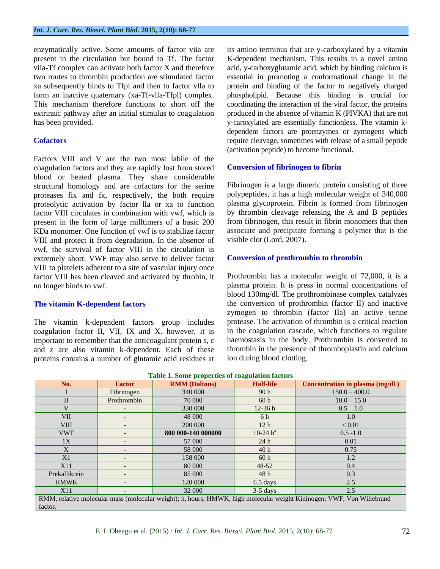enzymatically active. Some amounts of factor viia are

Factors VIII and V are the two most labile of the coagulation factors and they are rapidly lost from stored blood or heated plasma. They share considerable structural homology and are cofactors for the serine proteases fix and fx, respectively, the both require proteolytic activation by factor lla or xa to function factor VIII circulates in combination with vwf, which is present in the form of large milltimers of a basic 200 KDa monomer. One function of vwf is to stabilize factor VIII and protect it from degradation. In the absence of vwf, the survival of factor VIII in the circulation is extremely short. VWF may also serve to deliver factor VIII to platelets adherent to a site of vascular injury once factor VIII has been cleaved and activated by throbin, it

The vitamin k-dependent factors group includes coagulation factor II, VII, IX and X. however, it is important to remember that the anticoagulant protein s, c and z are also vitamin k-dependent. Each of these proteins contains a number of glutamic acid residues at

present in the circulation but bound to Tf. The factor K-dependent mechanism. This results in a novel amino viia-Tf complex can activate both factor X and therefore acid, y-carboxyglutamic acid, which by binding calcium is two routes to thrombin production are stimulated factor essential in promoting a conformational change in the xa subsequently binds to Tfpl and then to factor vlla to protein and binding of the factor to negatively charged form an inactive quaternary (xa-Tf-vlla-Tfpl) complex. phospholipid. Because this binding is crucial for This mechanism therefore functions to short off the coordinating the interaction of the viral factor, the proteins extrinsic pathway after an initial stimulus to coagulation produced in the absence of vitamin K (PIVKA) that are not has been provided. y-caroxylated are essentially functionless. The vitamin k- **Cofactors Cofactors require cleavage, sometimes with release of a small peptide** its amino terminus that are y-carboxylated by a vitamin dependent factors are proenzymes or zymogens which (activation peptide) to become functional.

### **Conversion of fibrinogen to fibrin**

Fibrinogen is a large dimeric protein consisting of three polypeptides, it has a high molecular weight of 340,000 plasma glycoprotein. Fibrin is formed from fibrinogen by thrombin cleavage releasing the A and B peptides from fibrinogen, this result in fibrin monomers that then associate and precipitate forming a polymer that is the visible clot (Lord, 2007).

### **Conversion of prothrombin to thrombin**

no longer binds to vwf. plasma protein. It is press in normal concentrations of **The vitamin K-dependent factors** the conversion of prothrombin (factor II) and inactive Prothrombin has a molecular weight of 72,000, it is a blood 130mg/dl. The prothrombinase complex catalyzes zymogen to thrombin (factor IIa) an active serine protease. The activation of thrombin is a critical reaction in the coagulation cascade, which functions to regulate haemostasis in the body. Prothrombin is converted to thrombin in the presence of thromboplastin and calcium ion during blood clotting.

| Tuble 11 bome properties of conguinton fuerors                                                                        |                                   |                      |                  |                                        |  |
|-----------------------------------------------------------------------------------------------------------------------|-----------------------------------|----------------------|------------------|----------------------------------------|--|
| No.                                                                                                                   | <b>Factor</b>                     | <b>RMM</b> (Daltons) | <b>Half-life</b> | <b>Concentration in plasma (mg/dl)</b> |  |
|                                                                                                                       | Fibrinogen                        | 340 000              | 90h              | $150.0 - 400.0$                        |  |
|                                                                                                                       | Prothrombin                       | 70 000               | 60 h             | $10.0 - 15.0$                          |  |
|                                                                                                                       | <b>Contract Contract</b>          | 330 000              | $12-36h$         | $0.5 - 1.0$                            |  |
| <b>VII</b>                                                                                                            | $\sim$                            | 48 000               | 6 h              | 1.0                                    |  |
| <b>VIII</b>                                                                                                           | <b>Service</b>                    | 200 000              | 12 <sub>h</sub>  | < 0.01                                 |  |
| <b>VWF</b>                                                                                                            | <b>Contract Contract Contract</b> | 800 000-140 000000   | 10-24 $h^a$      | $0.5 - 1.0$                            |  |
| 1X                                                                                                                    | <b>Service</b>                    | 57 000               | 24 h             | 0.01                                   |  |
|                                                                                                                       |                                   | 58 000               | 40 h             | 0.75                                   |  |
| X1                                                                                                                    |                                   | 158 000              | 60 h             | 1.2                                    |  |
| X11                                                                                                                   | $\sim$ $\sim$                     | 80 000               | 48-52            | 0.4                                    |  |
| Prekallikrein                                                                                                         | <b>Contract Contract Contract</b> | 85 000               | 48 h             | 0.3                                    |  |
| <b>HMWK</b>                                                                                                           | $\sim$ $\sim$                     | 120 000              | 6.5 days         | 2.5                                    |  |
| X11                                                                                                                   |                                   | 32 000               | $3-5$ days       | 2.5                                    |  |
| RMM, relative molecular mass (molecular weight); h, hours; HMWK, high molecular weight Kininogen; VWF, Von Willebrand |                                   |                      |                  |                                        |  |
| factor.                                                                                                               |                                   |                      |                  |                                        |  |

#### **Table 1. Some properties of coagulation factors**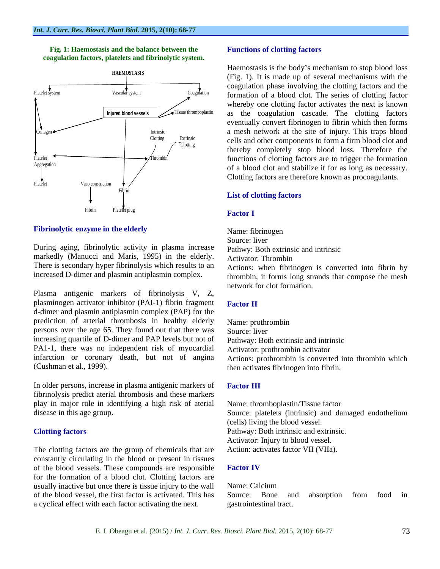



### **Fibrinolytic enzyme in the elderly** Name: fibrinogen

During aging, fibrinolytic activity in plasma increase markedly (Manucci and Maris, 1995) in the elderly. Activator: Thrombin There is secondary hyper fibrinolysis which results to an increased D-dimer and plasmin antiplasmin complex.

Plasma antigenic markers of fibrinolysis V, Z, plasminogen activator inhibitor (PAI-1) fibrin fragment Factor II d-dimer and plasmin antiplasmin complex (PAP) for the prediction of arterial thrombosis in healthy elderly Name: prothrombin persons over the age 65. They found out that there was increasing quartile of D-dimer and PAP levels but not of PA1-1, there was no independent risk of myocardial infarction or coronary death, but not of angina

In older persons, increase in plasma antigenic markers of Factor III fibrinolysis predict aterial thrombosis and these markers play in major role in identifying a high risk of aterial

The clotting factors are the group of chemicals that are constantly circulating in the blood or present in tissues of the blood vessels. These compounds are responsible Factor IV for the formation of a blood clot. Clotting factors are usually inactive but once there is tissue injury to the wall Name: Calcium of the blood vessel, the first factor is activated. This has a cyclical effect with each factor activating the next.

#### **Functions of clotting factors**

**HAEMOSTASIS** (Fig. 1). It is made up of several mechanisms with the Haemostasis is the body's mechanism to stop blood loss coagulation phase involving the clotting factors and the whereby one clotting factor activates the next is known eventually convert fibrinogen to fibrin which then forms thereby completely stop blood loss. Therefore the of a blood clot and stabilize it for as long as necessary. Clotting factors are therefore known as procoagulants.

#### **List of clotting factors List of clotting factors**

#### **Factor I**

Name: fibrinogen Source: liver Pathwy: Both extrinsic and intrinsic Activator: Thrombin Actions: when fibrinogen is converted into fibrin by

thrombin, it forms long strands that compose the mesh network for clot formation.

#### **Factor II**

(Cushman et al., 1999). then activates fibrinogen into fibrin. Name: prothrombin Source: liver Pathway: Both extrinsic and intrinsic Activator: prothrombin activator Actions: prothrombin is converted into thrombin which

#### **Factor III**

disease in this age group. Source: platelets (intrinsic) and damaged endothelium **Clotting factors** Pathway: Both intrinsic and extrinsic. Name: thromboplastin/Tissue factor (cells) living the blood vessel. Activator: Injury to blood vessel. Action: activates factor VII (VIIa).

#### **Factor IV**

Name: Calcium Source: Bone and absorption from food in gastrointestinal tract.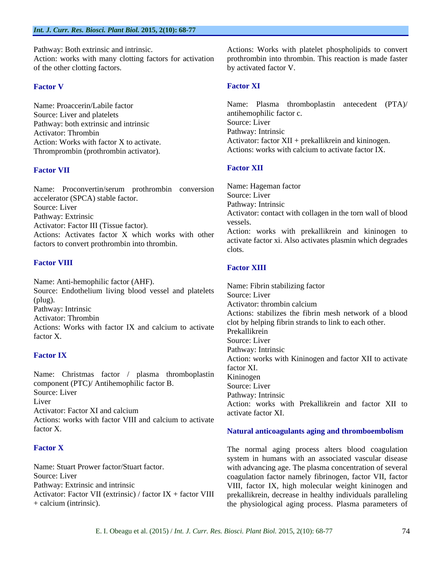of the other clotting factors.

Source: Liver and platelets and intrinsic<br>
Pathway: both extrinsic and intrinsic<br>
Source: Liver Pathway: both extrinsic and intrinsic<br>Activator: Thrombin<br>Pathway: Intrinsic Thromprombin (prothrombin activator).

### Factor VII **Factor XII**

Name: Proconvertin/serum prothrombin conversion Name: Hagem<br>source: Liver accelerator (SPCA) stable factor.<br>
Source: Liver<br>
Pathway: Intrinsic Activator: Factor III (Tissue factor). Actions: Activates factor X which works with other factors to convert prothrombin into thrombin.  $\frac{\text{acuvz}}{\text{clots}}$ 

### **Factor VIII**

Name: Anti-hemophilic factor (AHF). Source: Endothelium living blood vessel and platelets Source: Liver (plug). Source: EVE Actions: Works with factor IX and calcium to activate  $\frac{C_{\text{tot}}}{}$  Prekallikrein

Name: Christmas factor / plasma thromboplastin Kininogen component (PTC)/ Antihemophilic factor B. Source: Liver Actions: works with factor VIII and calcium to activate factor X. **Solution 2. Solution 2. A Solution 2. A Solution 2. A Solution 2. A Solution 2. A Solution 2. A Solution 2. A Solution 2. A Solution 2. A Solution 2. A Solution 2. A Solution 2. A Solution 2. A Solution 2. A S** 

Pathway: Both extrinsic and intrinsic. Actions: Works with platelet phospholipids to convert Action: works with many clotting factors for activation prothrombin into thrombin. This reaction is made faster by activated factor V.

#### Factor V **Factor XI Factor XI**

Name: Proaccerin/Labile factor Name: Plasma thromboplastin antecedent (PTA)/ Activator: Thrombin **Pathway: Intrinsic** Action: Works with factor X to activate. Activator: factor XII + prekallikrein and kininogen. antihemophilic factor c. Source: Liver Pathway: Intrinsic Actions: works with calcium to activate factor IX.

### **Factor XII**

Source: Liver **Example 2018 Contract Contract Contract Contract Contract Contract Contract Contract Contract Contract Contract Contract Contract Contract Contract Contract Contract Contract Contract Contract Contract Con** Pathway: Extrinsic Activator: contact with collagen in the torn wall of blood Name: Hageman factor Source: Liver Pathway: Intrinsic vessels. Action: works with prekallikrein and kininogen to activate factor xi. Also activates plasmin which degrades clots.

### **Factor XIII**

Pathway: Intrinsic<br>Actions: stabilizes the fibrin mesh network of a blood Activator: Thrombin<br>Activator: Thrombin<br>Actional Media and Solid by helping fibrin strands to link to each other. factor X. **Factor IX** Action: works with Kininogen and factor XII to activate Source: Liver **Source:** Liver **Source:** Liver **Source:** Liver **Pathway** Intrinsic Liver Action: works with Prekallikrein and factor XII to Activator: Factor XI and calcium Name: Fibrin stabilizing factor Source: Liver Activator: thrombin calcium Prekallikrein Source: Liver Pathway: Intrinsic factor XI. Kininogen and *Kininogen* Source: Liver Pathway: Intrinsic activate factor XI.

# **Natural anticoagulants aging and thromboembolism**

**Factor X** The normal aging process alters blood coagulation Name: Stuart Prower factor/Stuart factor. with advancing age. The plasma concentration of several Source: Liver **coagulation** factor namely fibrinogen, factor VII, factor Pathway: Extrinsic and intrinsic and intrinsic VIII, factor IX, high molecular weight kininogen and Activator: Factor VII (extrinsic) / factor IX + factor VIII prekallikrein, decrease in healthy individuals paralleling + calcium (intrinsic). the physiological aging process. Plasma parameters ofsystem in humans with an associated vascular disease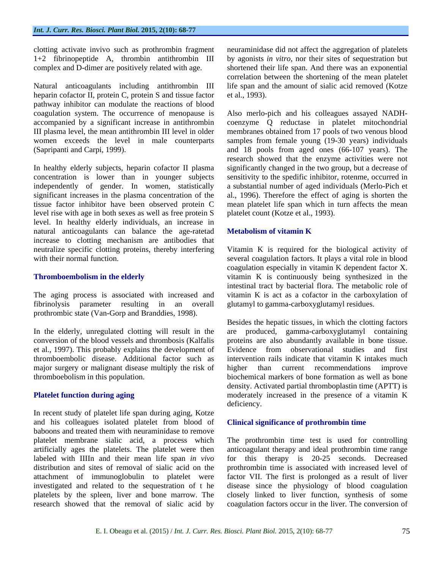clotting activate invivo such as prothrombin fragment

Natural anticoagulants including antithrombin III heparin cofactor II, protein C, protein S and tissue factor et al., 1993). pathway inhibitor can modulate the reactions of blood

In healthy elderly subjects, heparin cofactor II plasma significantly changed in the two group, but a decrease of concentration is lower than in younger subjects sensitivity to the spedific inhibitor, rotenme, occurred in independently of gender. In women, statistically a substantial number of aged individuals (Merlo-Pich et significant increases in the plasma concentration of the tissue factor inhibitor have been observed protein C mean platelet life span which in turn affects the mean level rise with age in both sexes as well as free protein S level. In healthy elderly individuals, an increase in natural anticoagulants can balance the age-ratetad Metabolism of vitamin K increase to clotting mechanism are antibodies that neutralize specific clotting proteins, thereby interfering Vitamin K is required for the biological activity of

prothrombic state (Van-Gorp and Branddies, 1998).

et al., 1997). This probably explains the development of thromboembolic disease. Additional factor such as major surgery or malignant disease multiply the risk of higher than current recommendations improve

In recent study of platelet life span during aging, Kotze and his colleagues isolated platelet from blood of baboons and treated them with neuraminidase to remove research showed that the removal of sialic acid by coagulation factors occur in the liver. The conversion of

1+2 fibrinopeptide A, thrombin antithrombin III by agonists *in vitro*, nor their sites of sequestration but complex and D-dimer are positively related with age. shortened their life span. And there was an exponential neuraminidase did not affect the aggregation of platelets correlation between the shortening of the mean platelet life span and the amount of sialic acid removed (Kotze et al., 1993).

coagulation system. The occurrence of menopause is Also merlo-pich and his colleagues assayed NADH accompanied by a significant increase in antithrombin coenzyme Q reductase in platelet mitochondrial III plasma level, the mean antithrombin III level in older membranes obtained from 17 pools of two venous blood women exceeds the level in male counterparts samples from female young (19-30 years) individuals (Sapripanti and Carpi, 1999). and 18 pools from aged ones (66-107 years). The research showed that the enzyme activities were not al., 1996). Therefore the effect of aging is shorten the platelet count (Kotze et al., 1993).

### **Metabolism of vitamin K**

with their normal function. Several coagulation factors. It plays a vital role in blood **Thromboembolism in the elderly** vitamin K is continuously being synthesized in the The aging process is associated with increased and vitamin K is act as a cofactor in the carboxylation of fibrinolysis parameter resulting in an overall glutamyl to gamma-carboxyglutamyl residues. coagulation especially in vitamin K dependent factor X. intestinal tract by bacterial flora. The metabolic role of

In the elderly, unregulated clotting will result in the are produced, gamma-carboxyglutamyl containing conversion of the blood vessels and thrombosis (Kalfalis proteins are also abundantly available in bone tissue. thromboebolism in this population. biochemical markers of bone formation as well as bone **Platelet function during aging** moderately increased in the presence of a vitamin K Besides the hepatic tissues, in which the clotting factors Evidence from observational studies and first intervention rails indicate that vitamin K intakes much than current recommendations density. Activated partial thromboplastin time (APTT) is deficiency.

### **Clinical significance of prothrombin time**

platelet membrane sialic acid, a process which The prothrombin time test is used for controlling artificially ages the platelets. The platelet were then anticoagulant therapy and ideal prothrombin time range labeled with IIIIn and their mean life span *in vivo* for this therapy is 20-25 seconds. Decreased distribution and sites of removal of sialic acid on the prothrombin time is associated with increased level of attachment of immunoglobulin to platelet were factor VII. The first is prolonged as a result of liver investigated and related to the sequestration of t he disease since the physiology of blood coagulation platelets by the spleen, liver and bone marrow. The closely linked to liver function, synthesis of some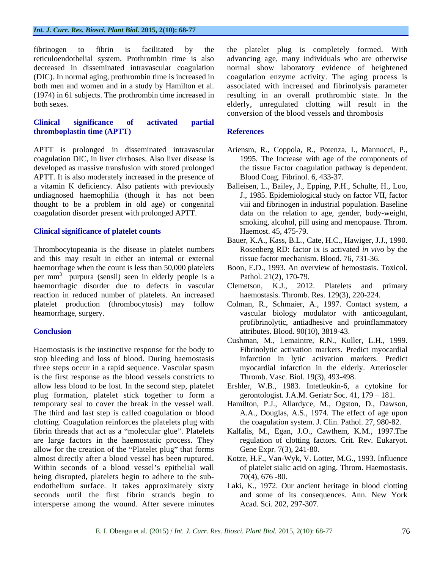#### *Int. J. Curr. Res. Biosci. Plant Biol.* **2015, 2(10): 68-77**

### **Clinical significance of activated partial thromboplastin time (APTT)** References

coagulation DIC, in liver cirrhoses. Also liver disease is developed as massive transfusion with stored prolonged the tissue Factor coagulation pathway is dependent. APTT. It is also moderately increased in the presence of a vitamin K deficiency. Also patients with previously Balleisen, L., Bailey, J., Epping, P.H., Schulte, H., Loo, undiagnosed haemophilia (though it has not been thought to be a problem in old age) or congenital coagulation disorder present with prolonged APTT.

### **Clinical significance of platelet counts**

Thrombocytopeania is the disease in platelet numbers and this may result in either an internal or external haemorrhage when the count is less than 50,000 platelets Boon, E.D., 1993. An overview of hemostasis. Toxicol. per mm<sup>3</sup> purpura (sensil) seen in elderly people is a Pathol. 21(2), 170-79. haemorrhagic disorder due to defects in vascular Clemetson, K.J., reaction in reduced number of platelets. An increased platelet production (thrombocytosis) may follow Colman, R., Schmaier, A., 1997. Contact system, a

Haemostasis is the instinctive response for the body to stop bleeding and loss of blood. During haemostasis three steps occur in a rapid sequence. Vascular spasm is the first response as the blood vessels constricts to allow less blood to be lost. In the second step, platelet Ershler, W.B., 1983. Intetleukin-6, a cytokine for plug formation, platelet stick together to form a temporary seal to cover the break in the vesselwall. Hamilton, P.J., Allardyce, M., Ogston, D., Dawson, The third and last step is called coagulation or blood clotting. Coagulation reinforces the platelets plug with fibrin threads that act as a "molecular glue". Platelets are large factors in the haemostatic process. They allow for the creation of the "Platelet plug" that forms almost directly after a blood vessel has been ruptured. Kotze, H.F., Van-Wyk, V. Lotter, M.G., 1993. Influence Within seconds of a blood vessel's epithelial wall being disrupted, platelets begin to adhere to the sub endothelium surface. It takes approximately sixty seconds until the first fibrin strands begin to intersperse among the wound. After severe minutes

fibrinogen to fibrin is facilitated by the the platelet plug is completely formed. With reticuloendothelial system. Prothrombin time is also advancing age, many individuals who are otherwise decreased in disseminated intravascular coagulation normal show laboratory evidence of heightened (DIC). In normal aging, prothrombin time is increased in coagulation enzyme activity. The aging process is both men and women and in a study by Hamilton et al. associated with increased and fibrinolysis parameter (1974) in 61 subjects. The prothrombin time increased in resulting in an overall prothrombic state. In the both sexes. elderly, unregulated clotting will result in the conversion of the blood vessels and thrombosis

#### **References**

- APTT is prolonged in disseminated intravascular Ariensm, R.,Coppola, R., Potenza, I., Mannucci, P., 1995. The Increase with age of the components of Blood Coag. Fibrinol. 6, 433-37.
	- J., 1985. Epidemiological study on factor VII, factor viii and fibrinogen in industrial population. Baseline data on the relation to age, gender, body-weight, smoking, alcohol, pill using and menopause. Throm. Haemost. 45, 475-79.
	- Bauer, K.A., Kass, B.L., Cate, H.C., Hawiger, J.J., 1990. Rosenberg RD: factor ix is activated *in vivo* by the tissue factor mechanism. Blood. 76, 731-36.
	- Pathol. 21(2), 170-79.
	- 2012. Platelets and primary haemostasis. Thromb. Res. 129(3), 220-224.
- heamorrhage, surgery. vascular biology modulator with anticoagulant, **Conclusion** attributes. Blood. 90(10), 3819-43. profibrinolytic, antiadhesive and proinflammatory
	- Cushman, M., Lemaintre, R.N., Kuller, L.H., 1999. Fibrinolytic activation markers. Predict myocardial infarction in lytic activation markers. Predict myocardial infarction in the elderly. Arterioscler Thromb. Vasc. Biol. 19(3), 493-498.
	- gerontologist. J.A.M. Geriatr Soc.  $41, 179 181$ .
	- A.A., Douglas, A.S., 1974. The effect of age upon the coagulation system. J. Clin. Pathol. 27, 980-82.
	- Kalfalis, M., Egan, J.O., Cawthem, K.M., 1997.The regulation of clotting factors. Crit. Rev. Eukaryot. Gene Expr. 7(3), 241-80.
	- of platelet sialic acid on aging. Throm.Haemostasis. 70(4), 676 -80.
	- Laki, K., 1972. Our ancient heritage in blood clotting and some of its consequences. Ann. New York Acad. Sci. 202, 297-307.